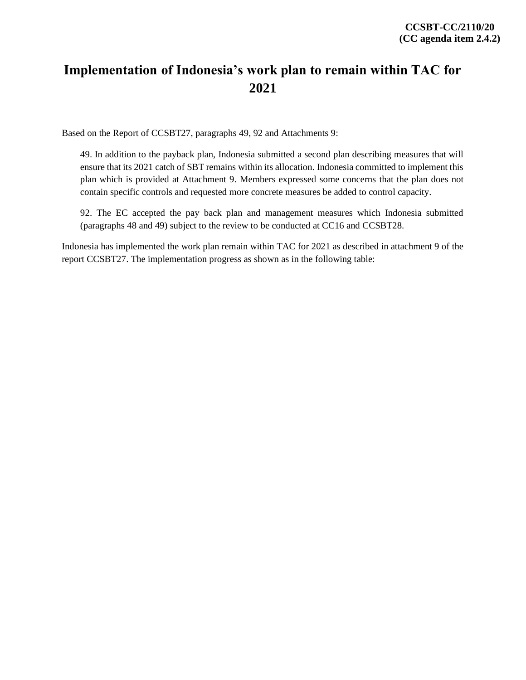## **Implementation of Indonesia's work plan to remain within TAC for 2021**

Based on the Report of CCSBT27, paragraphs 49, 92 and Attachments 9:

49. In addition to the payback plan, Indonesia submitted a second plan describing measures that will ensure that its 2021 catch of SBT remains within its allocation. Indonesia committed to implement this plan which is provided at Attachment 9. Members expressed some concerns that the plan does not contain specific controls and requested more concrete measures be added to control capacity.

92. The EC accepted the pay back plan and management measures which Indonesia submitted (paragraphs 48 and 49) subject to the review to be conducted at CC16 and CCSBT28.

Indonesia has implemented the work plan remain within TAC for 2021 as described in attachment 9 of the report CCSBT27. The implementation progress as shown as in the following table: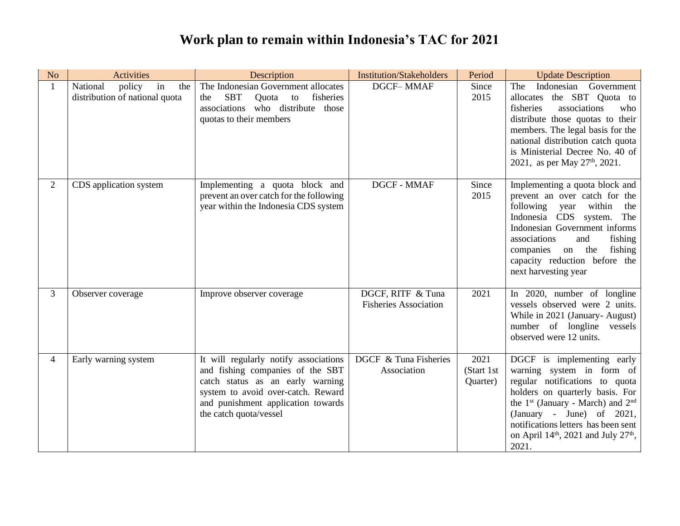## **Work plan to remain within Indonesia's TAC for 2021**

| N <sub>o</sub> | <b>Activities</b>                                                 | Description                                                                                                                                                                                                         | <b>Institution/Stakeholders</b>                   | Period                         | <b>Update Description</b>                                                                                                                                                                                                                                                                                                                 |
|----------------|-------------------------------------------------------------------|---------------------------------------------------------------------------------------------------------------------------------------------------------------------------------------------------------------------|---------------------------------------------------|--------------------------------|-------------------------------------------------------------------------------------------------------------------------------------------------------------------------------------------------------------------------------------------------------------------------------------------------------------------------------------------|
| 1              | National<br>policy<br>in<br>the<br>distribution of national quota | The Indonesian Government allocates<br><b>SBT</b><br>fisheries<br>Quota<br>to<br>the<br>associations who distribute those<br>quotas to their members                                                                | <b>DGCF-MMAF</b>                                  | Since<br>2015                  | Indonesian Government<br>The<br>allocates the SBT Quota to<br>fisheries<br>associations<br>who<br>distribute those quotas to their<br>members. The legal basis for the<br>national distribution catch quota<br>is Ministerial Decree No. 40 of<br>2021, as per May 27th, 2021.                                                            |
| $\overline{2}$ | CDS application system                                            | Implementing a quota block and<br>prevent an over catch for the following<br>year within the Indonesia CDS system                                                                                                   | DGCF - MMAF                                       | Since<br>2015                  | Implementing a quota block and<br>prevent an over catch for the<br>within<br>following<br>year<br>the<br>Indonesia CDS system. The<br>Indonesian Government informs<br>associations<br>fishing<br>and<br>fishing<br>companies<br>on the<br>capacity reduction before the<br>next harvesting year                                          |
| 3              | Observer coverage                                                 | Improve observer coverage                                                                                                                                                                                           | DGCF, RITF & Tuna<br><b>Fisheries Association</b> | 2021                           | In 2020, number of longline<br>vessels observed were 2 units.<br>While in 2021 (January-August)<br>number of longline vessels<br>observed were 12 units.                                                                                                                                                                                  |
| 4              | Early warning system                                              | It will regularly notify associations<br>and fishing companies of the SBT<br>catch status as an early warning<br>system to avoid over-catch. Reward<br>and punishment application towards<br>the catch quota/vessel | DGCF & Tuna Fisheries<br>Association              | 2021<br>(Start 1st<br>Quarter) | DGCF is implementing early<br>warning system in form of<br>regular notifications to quota<br>holders on quarterly basis. For<br>the 1 <sup>st</sup> (January - March) and 2 <sup>nd</sup><br>(January - June) of $2021$ ,<br>notifications letters has been sent<br>on April 14 <sup>th</sup> , 2021 and July 27 <sup>th</sup> ,<br>2021. |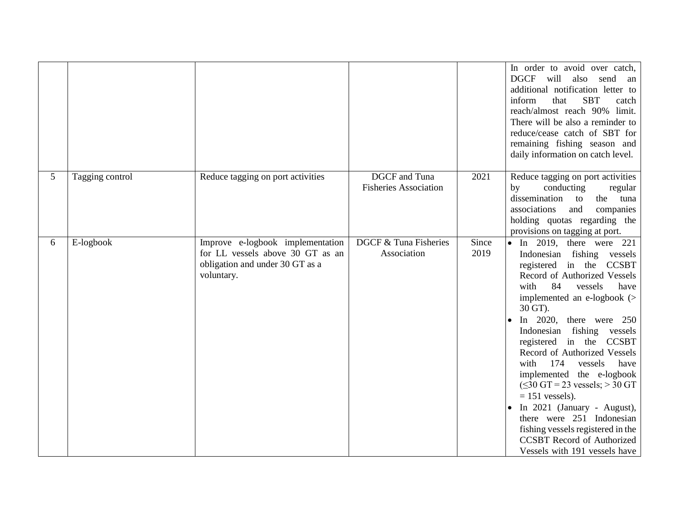|   |                 |                                                                                                                       |                                                      |               | In order to avoid over catch,<br><b>DGCF</b><br>will<br>also<br>send<br>an<br>additional notification letter to<br><b>SBT</b><br>inform<br>that<br>catch<br>reach/almost reach 90% limit.<br>There will be also a reminder to<br>reduce/cease catch of SBT for<br>remaining fishing season and<br>daily information on catch level.                                                                                                                                                                                                                                                                                                                 |
|---|-----------------|-----------------------------------------------------------------------------------------------------------------------|------------------------------------------------------|---------------|-----------------------------------------------------------------------------------------------------------------------------------------------------------------------------------------------------------------------------------------------------------------------------------------------------------------------------------------------------------------------------------------------------------------------------------------------------------------------------------------------------------------------------------------------------------------------------------------------------------------------------------------------------|
| 5 | Tagging control | Reduce tagging on port activities                                                                                     | <b>DGCF</b> and Tuna<br><b>Fisheries Association</b> | 2021          | Reduce tagging on port activities<br>conducting<br>by<br>regular<br>dissemination<br>to<br>the tuna<br>associations<br>and<br>companies<br>holding quotas regarding the<br>provisions on tagging at port.                                                                                                                                                                                                                                                                                                                                                                                                                                           |
| 6 | E-logbook       | Improve e-logbook implementation<br>for LL vessels above 30 GT as an<br>obligation and under 30 GT as a<br>voluntary. | DGCF & Tuna Fisheries<br>Association                 | Since<br>2019 | $\bullet$ In 2019, there were 221<br>Indonesian fishing vessels<br>registered in the CCSBT<br>Record of Authorized Vessels<br>84<br>vessels<br>have<br>with<br>implemented an e-logbook $($<br>30 GT).<br>In 2020, there were $250$<br>٠<br>Indonesian<br>fishing vessels<br>registered in the CCSBT<br>Record of Authorized Vessels<br>174<br>have<br>with<br>vessels<br>implemented the e-logbook<br>$(\leq 30$ GT = 23 vessels; > 30 GT<br>$= 151$ vessels).<br>In 2021 (January - August),<br>$\bullet$<br>there were 251 Indonesian<br>fishing vessels registered in the<br><b>CCSBT</b> Record of Authorized<br>Vessels with 191 vessels have |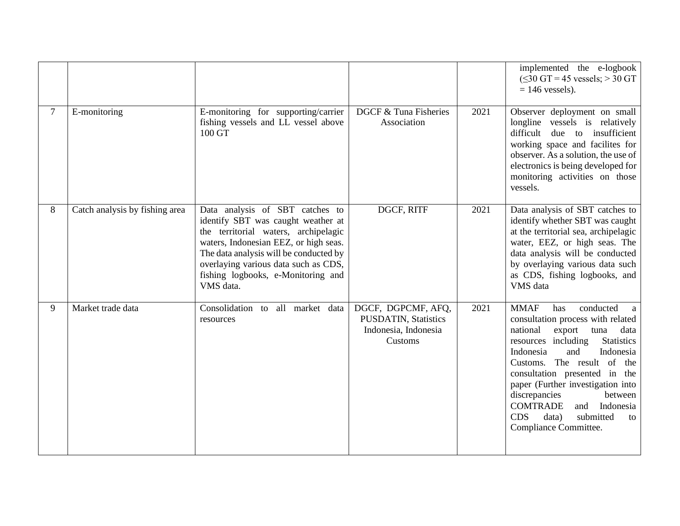|                |                                |                                                                                                                                                                                                                                                                                             |                                                                                      |      | implemented the e-logbook<br>$(\leq 30$ GT = 45 vessels; > 30 GT<br>$= 146$ vessels).                                                                                                                                                                                                                                                                                                                                                  |
|----------------|--------------------------------|---------------------------------------------------------------------------------------------------------------------------------------------------------------------------------------------------------------------------------------------------------------------------------------------|--------------------------------------------------------------------------------------|------|----------------------------------------------------------------------------------------------------------------------------------------------------------------------------------------------------------------------------------------------------------------------------------------------------------------------------------------------------------------------------------------------------------------------------------------|
| $\overline{7}$ | E-monitoring                   | E-monitoring for supporting/carrier<br>fishing vessels and LL vessel above<br>100 GT                                                                                                                                                                                                        | DGCF & Tuna Fisheries<br>Association                                                 | 2021 | Observer deployment on small<br>longline vessels is relatively<br>difficult due to insufficient<br>working space and facilites for<br>observer. As a solution, the use of<br>electronics is being developed for<br>monitoring activities on those<br>vessels.                                                                                                                                                                          |
| 8              | Catch analysis by fishing area | Data analysis of SBT catches to<br>identify SBT was caught weather at<br>the territorial waters, archipelagic<br>waters, Indonesian EEZ, or high seas.<br>The data analysis will be conducted by<br>overlaying various data such as CDS,<br>fishing logbooks, e-Monitoring and<br>VMS data. | DGCF, RITF                                                                           | 2021 | Data analysis of SBT catches to<br>identify whether SBT was caught<br>at the territorial sea, archipelagic<br>water, EEZ, or high seas. The<br>data analysis will be conducted<br>by overlaying various data such<br>as CDS, fishing logbooks, and<br>VMS data                                                                                                                                                                         |
| 9              | Market trade data              | Consolidation to<br>all market data<br>resources                                                                                                                                                                                                                                            | DGCF, DGPCMF, AFQ,<br><b>PUSDATIN, Statistics</b><br>Indonesia, Indonesia<br>Customs | 2021 | conducted<br><b>MMAF</b><br>has<br>a<br>consultation process with related<br>national<br>export<br>data<br>tuna<br>resources including<br><b>Statistics</b><br>Indonesia<br>Indonesia<br>and<br>Customs. The result of the<br>consultation presented in the<br>paper (Further investigation into<br>discrepancies<br>between<br><b>COMTRADE</b><br>Indonesia<br>and<br><b>CDS</b><br>submitted<br>data)<br>to<br>Compliance Committee. |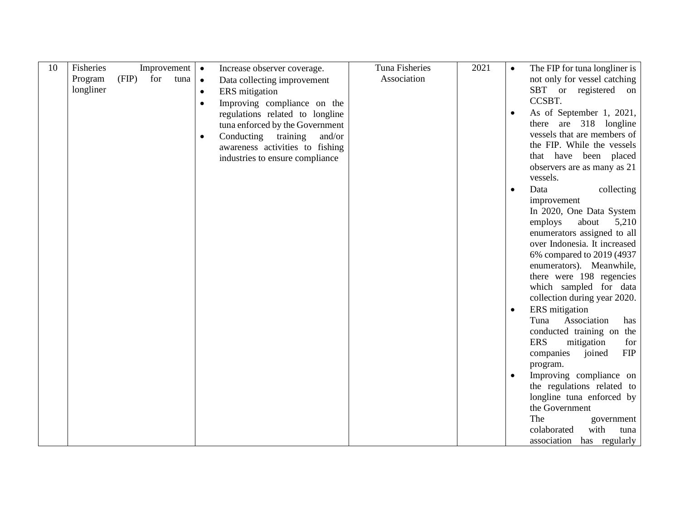| 10 | Fisheries |       |     | Improvement | $\bullet$ | Increase observer coverage.      | Tuna Fisheries | 2021 | $\bullet$ | The FIP for tuna longliner is     |
|----|-----------|-------|-----|-------------|-----------|----------------------------------|----------------|------|-----------|-----------------------------------|
|    | Program   | (FIP) | for | tuna        | $\bullet$ | Data collecting improvement      | Association    |      |           | not only for vessel catching      |
|    | longliner |       |     |             | $\bullet$ | ERS mitigation                   |                |      |           | SBT or registered<br>on           |
|    |           |       |     |             | $\bullet$ | Improving compliance on the      |                |      |           | CCSBT.                            |
|    |           |       |     |             |           | regulations related to longline  |                |      | $\bullet$ | As of September 1, 2021,          |
|    |           |       |     |             |           | tuna enforced by the Government  |                |      |           | there are 318 longline            |
|    |           |       |     |             | $\bullet$ | Conducting<br>training<br>and/or |                |      |           | vessels that are members of       |
|    |           |       |     |             |           | awareness activities to fishing  |                |      |           | the FIP. While the vessels        |
|    |           |       |     |             |           | industries to ensure compliance  |                |      |           | that have been placed             |
|    |           |       |     |             |           |                                  |                |      |           | observers are as many as 21       |
|    |           |       |     |             |           |                                  |                |      |           | vessels.                          |
|    |           |       |     |             |           |                                  |                |      | $\bullet$ | Data<br>collecting                |
|    |           |       |     |             |           |                                  |                |      |           | improvement                       |
|    |           |       |     |             |           |                                  |                |      |           | In 2020, One Data System          |
|    |           |       |     |             |           |                                  |                |      |           | employs<br>about<br>5,210         |
|    |           |       |     |             |           |                                  |                |      |           | enumerators assigned to all       |
|    |           |       |     |             |           |                                  |                |      |           | over Indonesia. It increased      |
|    |           |       |     |             |           |                                  |                |      |           | 6% compared to 2019 (4937         |
|    |           |       |     |             |           |                                  |                |      |           | enumerators). Meanwhile,          |
|    |           |       |     |             |           |                                  |                |      |           | there were 198 regencies          |
|    |           |       |     |             |           |                                  |                |      |           | which sampled for data            |
|    |           |       |     |             |           |                                  |                |      |           | collection during year 2020.      |
|    |           |       |     |             |           |                                  |                |      | $\bullet$ | ERS mitigation                    |
|    |           |       |     |             |           |                                  |                |      |           | Association<br>Tuna<br>has        |
|    |           |       |     |             |           |                                  |                |      |           | conducted training on the         |
|    |           |       |     |             |           |                                  |                |      |           | <b>ERS</b><br>mitigation<br>for   |
|    |           |       |     |             |           |                                  |                |      |           | <b>FIP</b><br>companies<br>joined |
|    |           |       |     |             |           |                                  |                |      |           | program.                          |
|    |           |       |     |             |           |                                  |                |      | $\bullet$ | Improving compliance on           |
|    |           |       |     |             |           |                                  |                |      |           | the regulations related to        |
|    |           |       |     |             |           |                                  |                |      |           | longline tuna enforced by         |
|    |           |       |     |             |           |                                  |                |      |           | the Government                    |
|    |           |       |     |             |           |                                  |                |      |           | The<br>government                 |
|    |           |       |     |             |           |                                  |                |      |           | with<br>colaborated<br>tuna       |
|    |           |       |     |             |           |                                  |                |      |           | association has regularly         |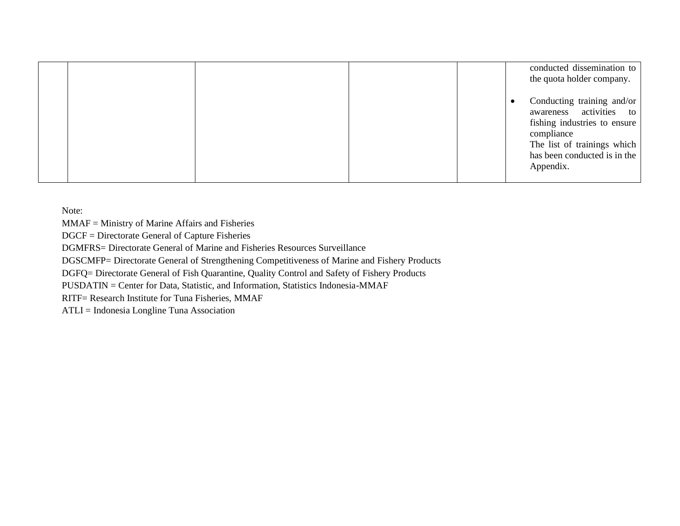|  |  | conducted dissemination to<br>the quota holder company.                                                                                                                         |
|--|--|---------------------------------------------------------------------------------------------------------------------------------------------------------------------------------|
|  |  | Conducting training and/or<br>awareness activities to<br>fishing industries to ensure<br>compliance<br>The list of trainings which<br>has been conducted is in the<br>Appendix. |

Note:

MMAF = Ministry of Marine Affairs and Fisheries

DGCF = Directorate General of Capture Fisheries

DGMFRS= Directorate General of Marine and Fisheries Resources Surveillance

DGSCMFP= Directorate General of Strengthening Competitiveness of Marine and Fishery Products

DGFQ= Directorate General of Fish Quarantine, Quality Control and Safety of Fishery Products

PUSDATIN = Center for Data, Statistic, and Information, Statistics Indonesia-MMAF

RITF= Research Institute for Tuna Fisheries, MMAF

ATLI = Indonesia Longline Tuna Association